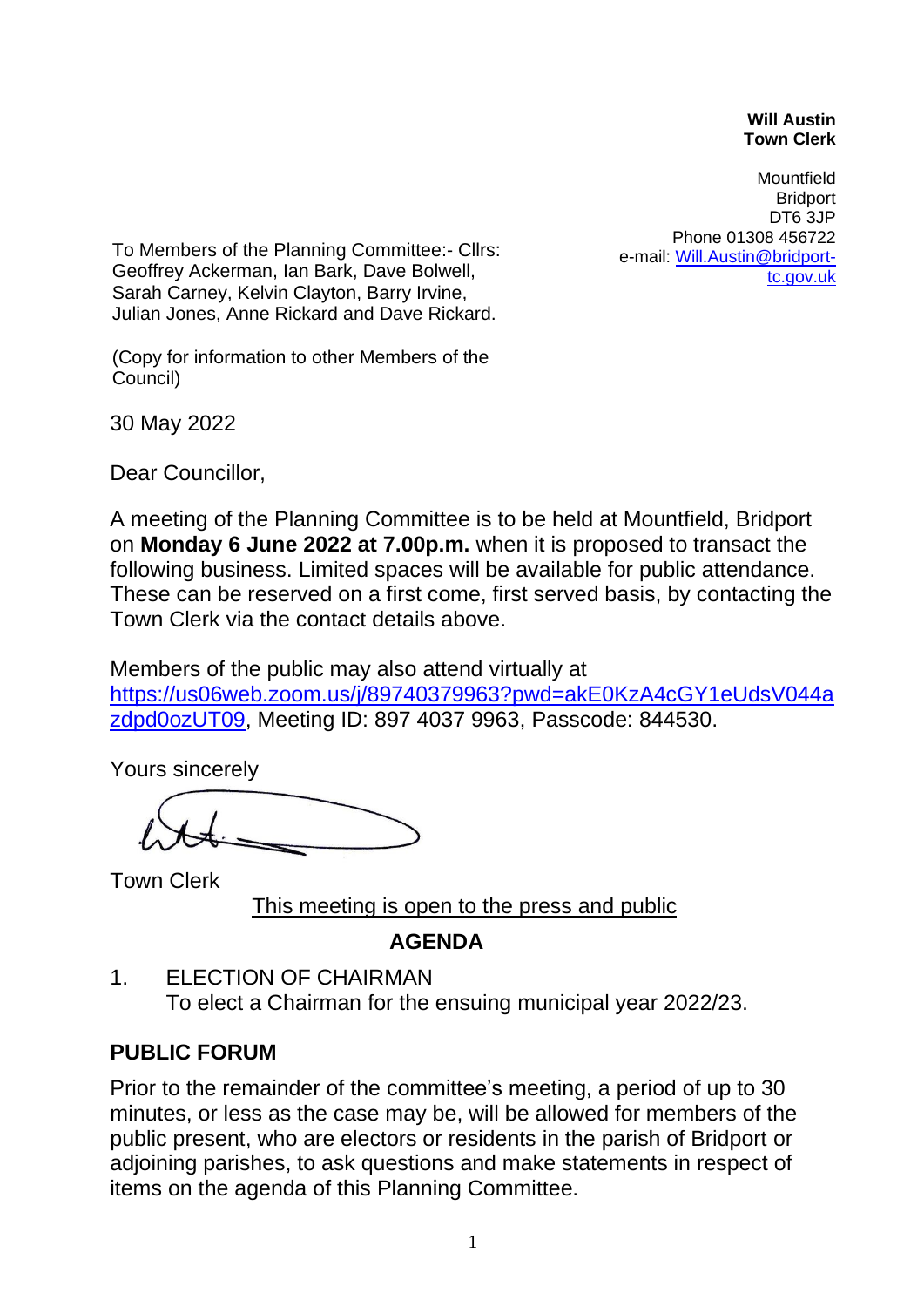## **Will Austin Town Clerk**

Mountfield **Bridport** DT6 3JP Phone 01308 456722 e-mail: [Will.Austin@bridport](mailto:Will.Austin@bridport-tc.gov.uk)[tc.gov.uk](mailto:Will.Austin@bridport-tc.gov.uk)

To Members of the Planning Committee:- Cllrs: Geoffrey Ackerman, Ian Bark, Dave Bolwell, Sarah Carney, Kelvin Clayton, Barry Irvine, Julian Jones, Anne Rickard and Dave Rickard.

(Copy for information to other Members of the Council)

30 May 2022

Dear Councillor,

A meeting of the Planning Committee is to be held at Mountfield, Bridport on **Monday 6 June 2022 at 7.00p.m.** when it is proposed to transact the following business. Limited spaces will be available for public attendance. These can be reserved on a first come, first served basis, by contacting the Town Clerk via the contact details above.

Members of the public may also attend virtually at [https://us06web.zoom.us/j/89740379963?pwd=akE0KzA4cGY1eUdsV044a](https://us06web.zoom.us/j/89740379963?pwd=akE0KzA4cGY1eUdsV044azdpd0ozUT09) [zdpd0ozUT09,](https://us06web.zoom.us/j/89740379963?pwd=akE0KzA4cGY1eUdsV044azdpd0ozUT09) Meeting ID: 897 4037 9963, Passcode: 844530.

Yours sincerely

Town Clerk

This meeting is open to the press and public

## **AGENDA**

1. ELECTION OF CHAIRMAN To elect a Chairman for the ensuing municipal year 2022/23.

## **PUBLIC FORUM**

Prior to the remainder of the committee's meeting, a period of up to 30 minutes, or less as the case may be, will be allowed for members of the public present, who are electors or residents in the parish of Bridport or adjoining parishes, to ask questions and make statements in respect of items on the agenda of this Planning Committee.